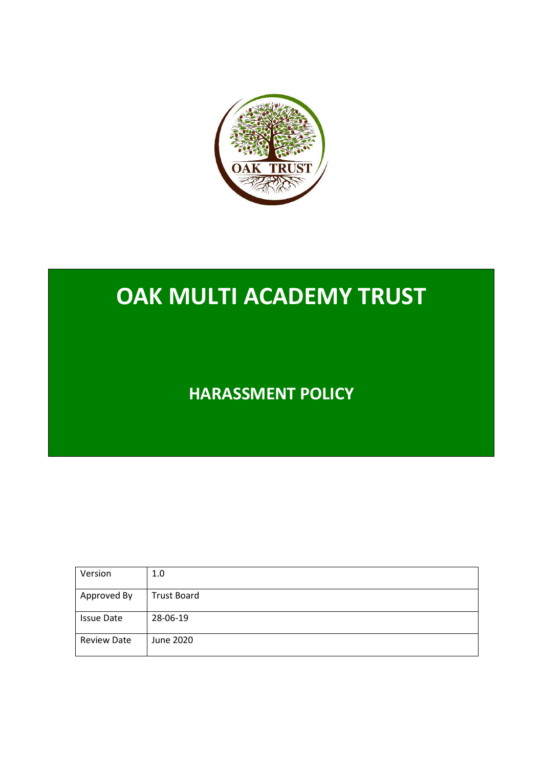

# **OAK MULTI ACADEMY TRUST**

**HARASSMENT POLICY**

| Version            | 1.0                |
|--------------------|--------------------|
| Approved By        | <b>Trust Board</b> |
| <b>Issue Date</b>  | 28-06-19           |
| <b>Review Date</b> | June 2020          |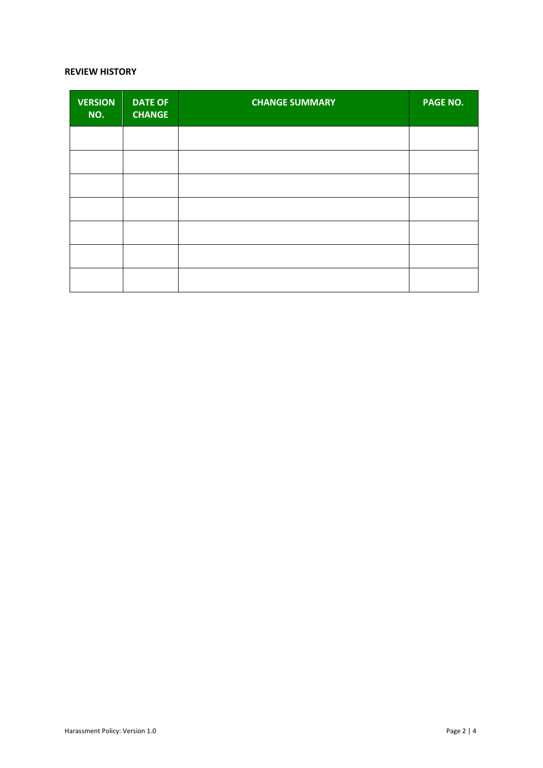#### **REVIEW HISTORY**

| <b>VERSION</b><br>NO. | <b>DATE OF</b><br><b>CHANGE</b> | <b>CHANGE SUMMARY</b> | PAGE NO. |
|-----------------------|---------------------------------|-----------------------|----------|
|                       |                                 |                       |          |
|                       |                                 |                       |          |
|                       |                                 |                       |          |
|                       |                                 |                       |          |
|                       |                                 |                       |          |
|                       |                                 |                       |          |
|                       |                                 |                       |          |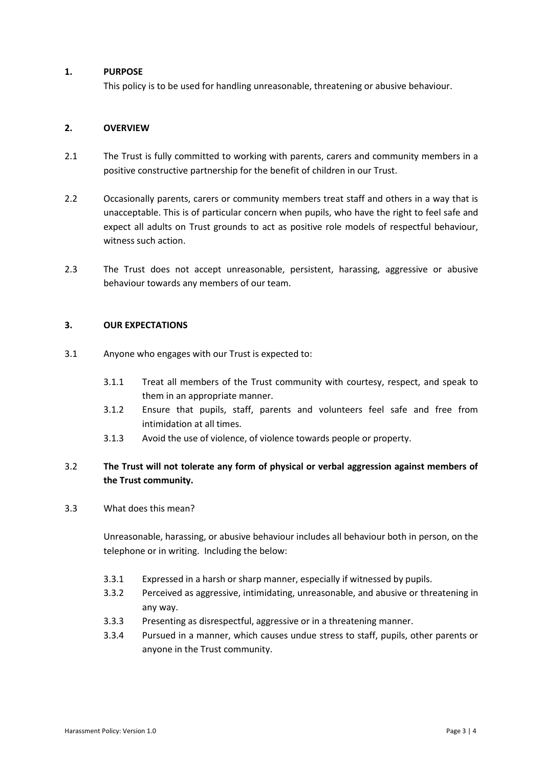#### **1. PURPOSE**

This policy is to be used for handling unreasonable, threatening or abusive behaviour.

### **2. OVERVIEW**

- 2.1 The Trust is fully committed to working with parents, carers and community members in a positive constructive partnership for the benefit of children in our Trust.
- 2.2 Occasionally parents, carers or community members treat staff and others in a way that is unacceptable. This is of particular concern when pupils, who have the right to feel safe and expect all adults on Trust grounds to act as positive role models of respectful behaviour, witness such action.
- 2.3 The Trust does not accept unreasonable, persistent, harassing, aggressive or abusive behaviour towards any members of our team.

### **3. OUR EXPECTATIONS**

- 3.1 Anyone who engages with our Trust is expected to:
	- 3.1.1 Treat all members of the Trust community with courtesy, respect, and speak to them in an appropriate manner.
	- 3.1.2 Ensure that pupils, staff, parents and volunteers feel safe and free from intimidation at all times.
	- 3.1.3 Avoid the use of violence, of violence towards people or property.

## 3.2 **The Trust will not tolerate any form of physical or verbal aggression against members of the Trust community.**

3.3 What does this mean?

Unreasonable, harassing, or abusive behaviour includes all behaviour both in person, on the telephone or in writing. Including the below:

- 3.3.1 Expressed in a harsh or sharp manner, especially if witnessed by pupils.
- 3.3.2 Perceived as aggressive, intimidating, unreasonable, and abusive or threatening in any way.
- 3.3.3 Presenting as disrespectful, aggressive or in a threatening manner.
- 3.3.4 Pursued in a manner, which causes undue stress to staff, pupils, other parents or anyone in the Trust community.